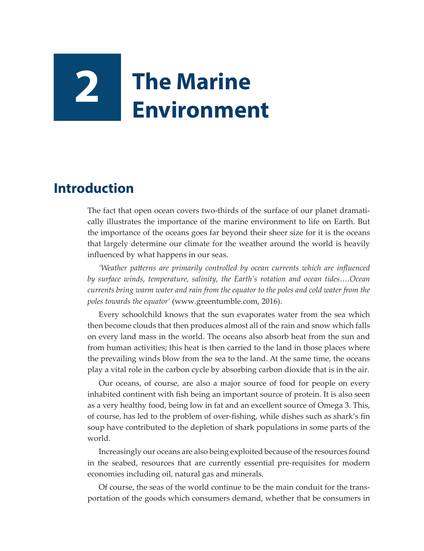## **2 The Marine Environment**

## **Introduction**

The fact that open ocean covers two-thirds of the surface of our planet dramatically illustrates the importance of the marine environment to life on Earth. But the importance of the oceans goes far beyond their sheer size for it is the oceans that largely determine our climate for the weather around the world is heavily influenced by what happens in our seas.

*'Weather patterns are primarily controlled by ocean currents which are influenced by surface winds, temperature, salinity, the Earth's rotation and ocean tides….Ocean currents bring warm water and rain from the equator to the poles and cold water from the poles towards the equator'* (www.greentumble.com, 2016).

Every schoolchild knows that the sun evaporates water from the sea which then become clouds that then produces almost all of the rain and snow which falls on every land mass in the world. The oceans also absorb heat from the sun and from human activities; this heat is then carried to the land in those places where the prevailing winds blow from the sea to the land. At the same time, the oceans play a vital role in the carbon cycle by absorbing carbon dioxide that is in the air.

Our oceans, of course, are also a major source of food for people on every inhabited continent with fish being an important source of protein. It is also seen as a very healthy food, being low in fat and an excellent source of Omega 3. This, of course, has led to the problem of over-fishing, while dishes such as shark's fin soup have contributed to the depletion of shark populations in some parts of the world.

Increasingly our oceans are also being exploited because of the resources found in the seabed, resources that are currently essential pre-requisites for modern economies including oil, natural gas and minerals.

Of course, the seas of the world continue to be the main conduit for the transportation of the goods which consumers demand, whether that be consumers in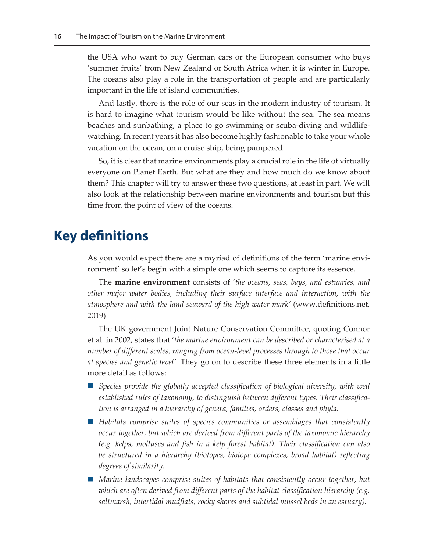the USA who want to buy German cars or the European consumer who buys 'summer fruits' from New Zealand or South Africa when it is winter in Europe. The oceans also play a role in the transportation of people and are particularly important in the life of island communities.

And lastly, there is the role of our seas in the modern industry of tourism. It is hard to imagine what tourism would be like without the sea. The sea means beaches and sunbathing, a place to go swimming or scuba-diving and wildlifewatching. In recent years it has also become highly fashionable to take your whole vacation on the ocean, on a cruise ship, being pampered.

So, it is clear that marine environments play a crucial role in the life of virtually everyone on Planet Earth. But what are they and how much do we know about them? This chapter will try to answer these two questions, at least in part. We will also look at the relationship between marine environments and tourism but this time from the point of view of the oceans.

## **Key definitions**

As you would expect there are a myriad of definitions of the term 'marine environment' so let's begin with a simple one which seems to capture its essence.

The **marine environment** consists of '*the oceans, seas, bays, and estuaries, and other major water bodies, including their surface interface and interaction, with the atmosphere and with the land seaward of the high water mark'* ([www.definitions.net](http://www.definitions.net), 2019)

The UK government Joint Nature Conservation Committee, quoting Connor et al. in 2002, states that '*the marine environment can be described or characterised at a number of different scales, ranging from ocean-level processes through to those that occur at species and genetic level'.* They go on to describe these three elements in a little more detail as follows:

- Species provide the globally accepted classification of biological diversity, with well *established rules of taxonomy, to distinguish between different types. Their classification is arranged in a hierarchy of genera, families, orders, classes and phyla.*
- *Habitats comprise suites of species communities or assemblages that consistently occur together, but which are derived from different parts of the taxonomic hierarchy (e.g. kelps, molluscs and fish in a kelp forest habitat). Their classification can also be structured in a hierarchy (biotopes, biotope complexes, broad habitat) reflecting degrees of similarity.*
- *Marine landscapes comprise suites of habitats that consistently occur together, but which are often derived from different parts of the habitat classification hierarchy (e.g. saltmarsh, intertidal mudflats, rocky shores and subtidal mussel beds in an estuary).*